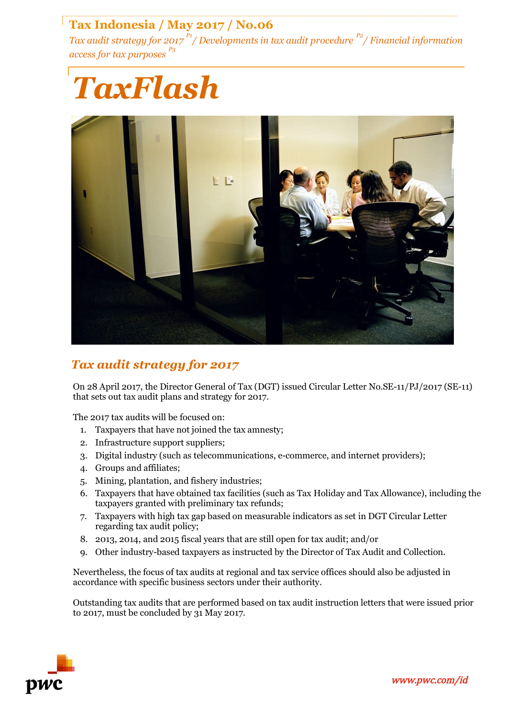# **Tax Indonesia / May 2017 / No.06**

*Tax audit strategy for 2017 P1/ Developments in tax audit procedure P2/ Financial information access for tax purposes P3*





# *Tax audit strategy for 2017*

On 28 April 2017, the Director General of Tax (DGT) issued Circular Letter No.SE-11/PJ/2017 (SE-11) that sets out tax audit plans and strategy for 2017.

The 2017 tax audits will be focused on:

- 1. Taxpayers that have not joined the tax amnesty;
- 2. Infrastructure support suppliers;
- 3. Digital industry (such as telecommunications, e-commerce, and internet providers);
- 4. Groups and affiliates;
- 5. Mining, plantation, and fishery industries;
- 6. Taxpayers that have obtained tax facilities (such as Tax Holiday and Tax Allowance), including the taxpayers granted with preliminary tax refunds;
- 7. Taxpayers with high tax gap based on measurable indicators as set in DGT Circular Letter regarding tax audit policy;
- 8. 2013, 2014, and 2015 fiscal years that are still open for tax audit; and/or
- 9. Other industry-based taxpayers as instructed by the Director of Tax Audit and Collection.

Nevertheless, the focus of tax audits at regional and tax service offices should also be adjusted in accordance with specific business sectors under their authority.

Outstanding tax audits that are performed based on tax audit instruction letters that were issued prior to 2017, must be concluded by 31 May 2017.

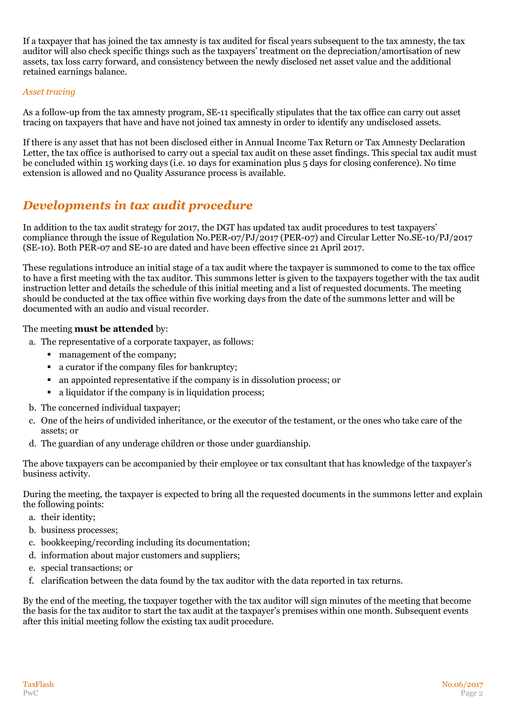If a taxpayer that has joined the tax amnesty is tax audited for fiscal years subsequent to the tax amnesty, the tax auditor will also check specific things such as the taxpayers' treatment on the depreciation/amortisation of new assets, tax loss carry forward, and consistency between the newly disclosed net asset value and the additional retained earnings balance.

#### *Asset tracing*

As a follow-up from the tax amnesty program, SE-11 specifically stipulates that the tax office can carry out asset tracing on taxpayers that have and have not joined tax amnesty in order to identify any undisclosed assets.

If there is any asset that has not been disclosed either in Annual Income Tax Return or Tax Amnesty Declaration Letter, the tax office is authorised to carry out a special tax audit on these asset findings. This special tax audit must be concluded within 15 working days (i.e. 10 days for examination plus 5 days for closing conference). No time extension is allowed and no Quality Assurance process is available.

# *Developments in tax audit procedure*

In addition to the tax audit strategy for 2017, the DGT has updated tax audit procedures to test taxpayers' compliance through the issue of Regulation No.PER-07/PJ/2017 (PER-07) and Circular Letter No.SE-10/PJ/2017 (SE-10). Both PER-07 and SE-10 are dated and have been effective since 21 April 2017.

These regulations introduce an initial stage of a tax audit where the taxpayer is summoned to come to the tax office to have a first meeting with the tax auditor. This summons letter is given to the taxpayers together with the tax audit instruction letter and details the schedule of this initial meeting and a list of requested documents. The meeting should be conducted at the tax office within five working days from the date of the summons letter and will be documented with an audio and visual recorder.

## The meeting **must be attended** by:

- a. The representative of a corporate taxpayer, as follows:
	- management of the company;
	- a curator if the company files for bankruptcy;
	- an appointed representative if the company is in dissolution process; or
	- a liquidator if the company is in liquidation process;
- b. The concerned individual taxpayer;
- c. One of the heirs of undivided inheritance, or the executor of the testament, or the ones who take care of the assets; or
- d. The guardian of any underage children or those under guardianship.

The above taxpayers can be accompanied by their employee or tax consultant that has knowledge of the taxpayer's business activity.

During the meeting, the taxpayer is expected to bring all the requested documents in the summons letter and explain the following points:

- a. their identity;
- b. business processes;
- c. bookkeeping/recording including its documentation;
- d. information about major customers and suppliers;
- e. special transactions; or
- f. clarification between the data found by the tax auditor with the data reported in tax returns.

By the end of the meeting, the taxpayer together with the tax auditor will sign minutes of the meeting that become the basis for the tax auditor to start the tax audit at the taxpayer's premises within one month. Subsequent events after this initial meeting follow the existing tax audit procedure.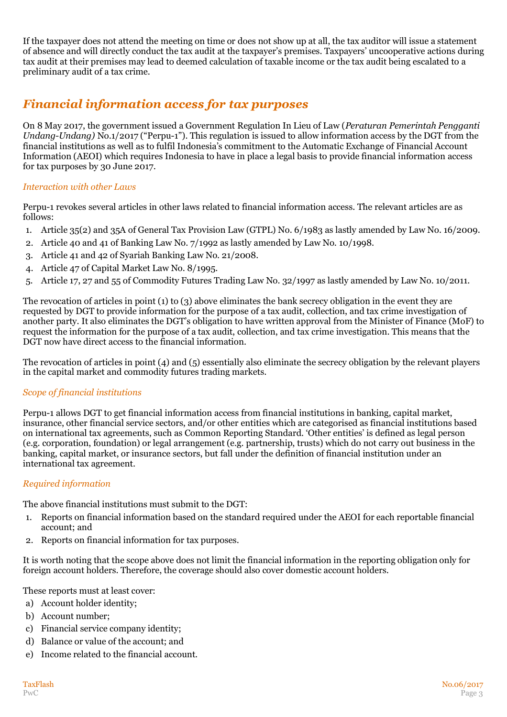If the taxpayer does not attend the meeting on time or does not show up at all, the tax auditor will issue a statement of absence and will directly conduct the tax audit at the taxpayer's premises. Taxpayers' uncooperative actions during tax audit at their premises may lead to deemed calculation of taxable income or the tax audit being escalated to a preliminary audit of a tax crime.

## *Financial information access for tax purposes*

On 8 May 2017, the government issued a Government Regulation In Lieu of Law (*Peraturan Pemerintah Pengganti Undang-Undang)* No.1/2017 ("Perpu-1"). This regulation is issued to allow information access by the DGT from the financial institutions as well as to fulfil Indonesia's commitment to the Automatic Exchange of Financial Account Information (AEOI) which requires Indonesia to have in place a legal basis to provide financial information access for tax purposes by 30 June 2017.

## *Interaction with other Laws*

Perpu-1 revokes several articles in other laws related to financial information access. The relevant articles are as follows:

- 1. Article 35(2) and 35A of General Tax Provision Law (GTPL) No. 6/1983 as lastly amended by Law No. 16/2009.
- 2. Article 40 and 41 of Banking Law No. 7/1992 as lastly amended by Law No. 10/1998.
- 3. Article 41 and 42 of Syariah Banking Law No. 21/2008.
- 4. Article 47 of Capital Market Law No. 8/1995.
- 5. Article 17, 27 and 55 of Commodity Futures Trading Law No. 32/1997 as lastly amended by Law No. 10/2011.

The revocation of articles in point (1) to (3) above eliminates the bank secrecy obligation in the event they are requested by DGT to provide information for the purpose of a tax audit, collection, and tax crime investigation of another party. It also eliminates the DGT's obligation to have written approval from the Minister of Finance (MoF) to request the information for the purpose of a tax audit, collection, and tax crime investigation. This means that the DGT now have direct access to the financial information.

The revocation of articles in point (4) and (5) essentially also eliminate the secrecy obligation by the relevant players in the capital market and commodity futures trading markets.

## *Scope of financial institutions*

Perpu-1 allows DGT to get financial information access from financial institutions in banking, capital market, insurance, other financial service sectors, and/or other entities which are categorised as financial institutions based on international tax agreements, such as Common Reporting Standard. 'Other entities' is defined as legal person (e.g. corporation, foundation) or legal arrangement (e.g. partnership, trusts) which do not carry out business in the banking, capital market, or insurance sectors, but fall under the definition of financial institution under an international tax agreement.

## *Required information*

The above financial institutions must submit to the DGT:

- 1. Reports on financial information based on the standard required under the AEOI for each reportable financial account; and
- 2. Reports on financial information for tax purposes.

It is worth noting that the scope above does not limit the financial information in the reporting obligation only for foreign account holders. Therefore, the coverage should also cover domestic account holders.

These reports must at least cover:

- a) Account holder identity;
- b) Account number;
- c) Financial service company identity;
- d) Balance or value of the account; and
- e) Income related to the financial account.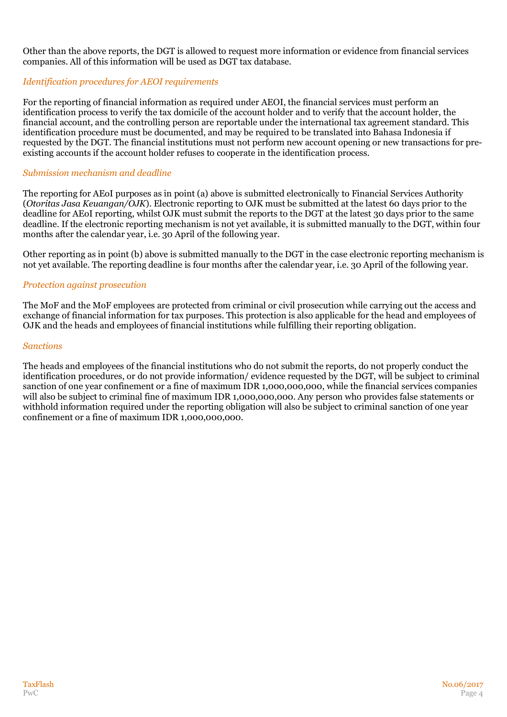Other than the above reports, the DGT is allowed to request more information or evidence from financial services companies. All of this information will be used as DGT tax database.

### *Identification procedures for AEOI requirements*

For the reporting of financial information as required under AEOI, the financial services must perform an identification process to verify the tax domicile of the account holder and to verify that the account holder, the financial account, and the controlling person are reportable under the international tax agreement standard. This identification procedure must be documented, and may be required to be translated into Bahasa Indonesia if requested by the DGT. The financial institutions must not perform new account opening or new transactions for preexisting accounts if the account holder refuses to cooperate in the identification process.

#### *Submission mechanism and deadline*

The reporting for AEoI purposes as in point (a) above is submitted electronically to Financial Services Authority (*Otoritas Jasa Keuangan/OJK*). Electronic reporting to OJK must be submitted at the latest 60 days prior to the deadline for AEoI reporting, whilst OJK must submit the reports to the DGT at the latest 30 days prior to the same deadline. If the electronic reporting mechanism is not yet available, it is submitted manually to the DGT, within four months after the calendar year, i.e. 30 April of the following year.

Other reporting as in point (b) above is submitted manually to the DGT in the case electronic reporting mechanism is not yet available. The reporting deadline is four months after the calendar year, i.e. 30 April of the following year.

#### *Protection against prosecution*

The MoF and the MoF employees are protected from criminal or civil prosecution while carrying out the access and exchange of financial information for tax purposes. This protection is also applicable for the head and employees of OJK and the heads and employees of financial institutions while fulfilling their reporting obligation.

#### *Sanctions*

The heads and employees of the financial institutions who do not submit the reports, do not properly conduct the identification procedures, or do not provide information/ evidence requested by the DGT, will be subject to criminal sanction of one year confinement or a fine of maximum IDR 1,000,000,000, while the financial services companies will also be subject to criminal fine of maximum IDR 1,000,000,000. Any person who provides false statements or withhold information required under the reporting obligation will also be subject to criminal sanction of one year confinement or a fine of maximum IDR 1,000,000,000.